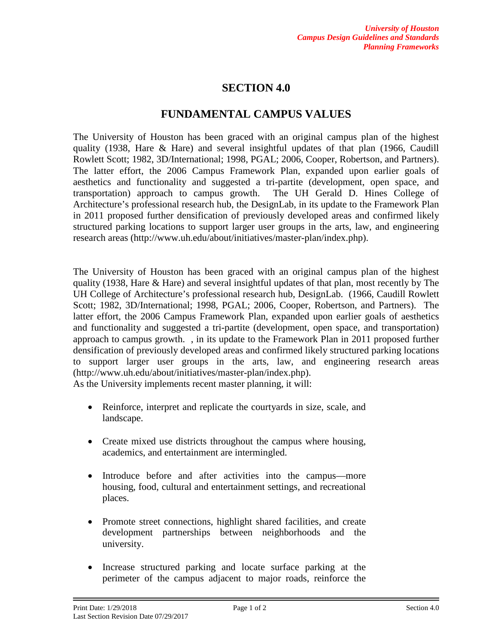## **SECTION 4.0**

## **FUNDAMENTAL CAMPUS VALUES**

The University of Houston has been graced with an original campus plan of the highest quality (1938, Hare & Hare) and several insightful updates of that plan (1966, Caudill Rowlett Scott; 1982, 3D/International; 1998, PGAL; 2006, Cooper, Robertson, and Partners). The latter effort, the 2006 Campus Framework Plan, expanded upon earlier goals of aesthetics and functionality and suggested a tri-partite (development, open space, and transportation) approach to campus growth. The UH Gerald D. Hines College of Architecture's professional research hub, the DesignLab, in its update to the Framework Plan in 2011 proposed further densification of previously developed areas and confirmed likely structured parking locations to support larger user groups in the arts, law, and engineering research areas (http://www.uh.edu/about/initiatives/master-plan/index.php).

The University of Houston has been graced with an original campus plan of the highest quality (1938, Hare & Hare) and several insightful updates of that plan, most recently by The UH College of Architecture's professional research hub, DesignLab. (1966, Caudill Rowlett Scott; 1982, 3D/International; 1998, PGAL; 2006, Cooper, Robertson, and Partners). The latter effort, the 2006 Campus Framework Plan, expanded upon earlier goals of aesthetics and functionality and suggested a tri-partite (development, open space, and transportation) approach to campus growth. , in its update to the Framework Plan in 2011 proposed further densification of previously developed areas and confirmed likely structured parking locations to support larger user groups in the arts, law, and engineering research areas (http://www.uh.edu/about/initiatives/master-plan/index.php).

As the University implements recent master planning, it will:

- Reinforce, interpret and replicate the courtyards in size, scale, and landscape.
- Create mixed use districts throughout the campus where housing, academics, and entertainment are intermingled.
- Introduce before and after activities into the campus—more housing, food, cultural and entertainment settings, and recreational places.
- Promote street connections, highlight shared facilities, and create development partnerships between neighborhoods and the university.
- Increase structured parking and locate surface parking at the perimeter of the campus adjacent to major roads, reinforce the